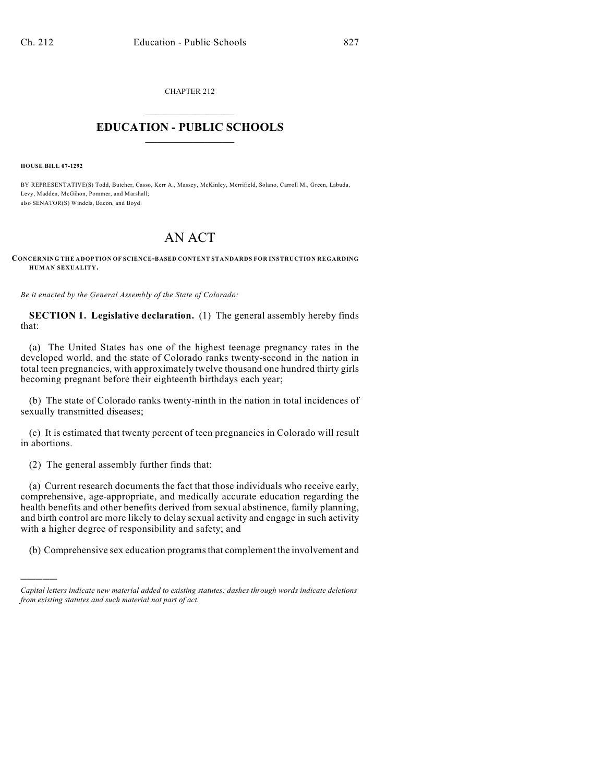CHAPTER 212  $\mathcal{L}_\text{max}$  . The set of the set of the set of the set of the set of the set of the set of the set of the set of the set of the set of the set of the set of the set of the set of the set of the set of the set of the set

## **EDUCATION - PUBLIC SCHOOLS**  $\_$   $\_$   $\_$   $\_$   $\_$   $\_$   $\_$   $\_$   $\_$

**HOUSE BILL 07-1292**

)))))

BY REPRESENTATIVE(S) Todd, Butcher, Casso, Kerr A., Massey, McKinley, Merrifield, Solano, Carroll M., Green, Labuda, Levy, Madden, McGihon, Pommer, and Marshall; also SENATOR(S) Windels, Bacon, and Boyd.

## AN ACT

**CONCERNING THE ADOPTION OF SCIENCE-BASED CONTENT STANDARDS FOR INSTRUCTION REGARDING HUMAN SEXUALITY.**

*Be it enacted by the General Assembly of the State of Colorado:*

**SECTION 1. Legislative declaration.** (1) The general assembly hereby finds that:

(a) The United States has one of the highest teenage pregnancy rates in the developed world, and the state of Colorado ranks twenty-second in the nation in total teen pregnancies, with approximately twelve thousand one hundred thirty girls becoming pregnant before their eighteenth birthdays each year;

(b) The state of Colorado ranks twenty-ninth in the nation in total incidences of sexually transmitted diseases;

(c) It is estimated that twenty percent of teen pregnancies in Colorado will result in abortions.

(2) The general assembly further finds that:

(a) Current research documents the fact that those individuals who receive early, comprehensive, age-appropriate, and medically accurate education regarding the health benefits and other benefits derived from sexual abstinence, family planning, and birth control are more likely to delay sexual activity and engage in such activity with a higher degree of responsibility and safety; and

(b) Comprehensive sex education programs that complement the involvement and

*Capital letters indicate new material added to existing statutes; dashes through words indicate deletions from existing statutes and such material not part of act.*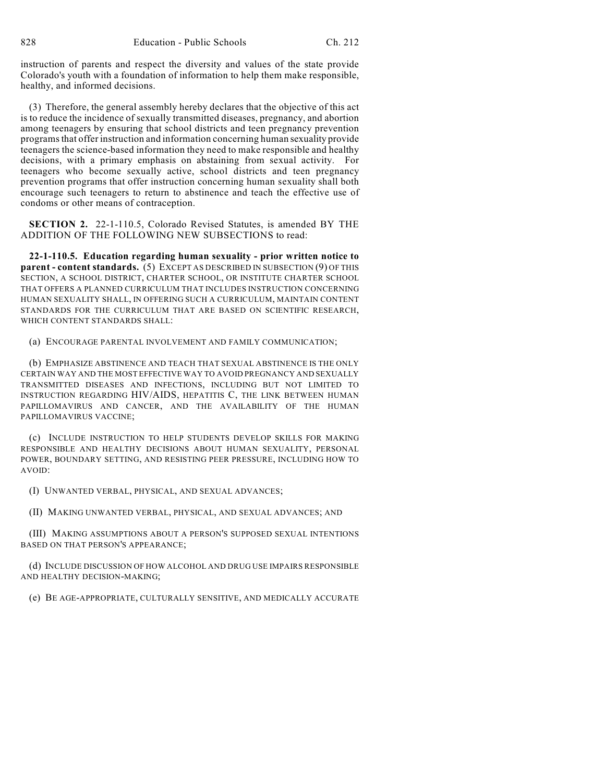instruction of parents and respect the diversity and values of the state provide Colorado's youth with a foundation of information to help them make responsible, healthy, and informed decisions.

(3) Therefore, the general assembly hereby declares that the objective of this act is to reduce the incidence of sexually transmitted diseases, pregnancy, and abortion among teenagers by ensuring that school districts and teen pregnancy prevention programs that offer instruction and information concerning human sexuality provide teenagers the science-based information they need to make responsible and healthy decisions, with a primary emphasis on abstaining from sexual activity. For teenagers who become sexually active, school districts and teen pregnancy prevention programs that offer instruction concerning human sexuality shall both encourage such teenagers to return to abstinence and teach the effective use of condoms or other means of contraception.

**SECTION 2.** 22-1-110.5, Colorado Revised Statutes, is amended BY THE ADDITION OF THE FOLLOWING NEW SUBSECTIONS to read:

**22-1-110.5. Education regarding human sexuality - prior written notice to parent - content standards.** (5) EXCEPT AS DESCRIBED IN SUBSECTION (9) OF THIS SECTION, A SCHOOL DISTRICT, CHARTER SCHOOL, OR INSTITUTE CHARTER SCHOOL THAT OFFERS A PLANNED CURRICULUM THAT INCLUDES INSTRUCTION CONCERNING HUMAN SEXUALITY SHALL, IN OFFERING SUCH A CURRICULUM, MAINTAIN CONTENT STANDARDS FOR THE CURRICULUM THAT ARE BASED ON SCIENTIFIC RESEARCH, WHICH CONTENT STANDARDS SHALL:

(a) ENCOURAGE PARENTAL INVOLVEMENT AND FAMILY COMMUNICATION;

(b) EMPHASIZE ABSTINENCE AND TEACH THAT SEXUAL ABSTINENCE IS THE ONLY CERTAIN WAY AND THE MOST EFFECTIVE WAY TO AVOID PREGNANCY AND SEXUALLY TRANSMITTED DISEASES AND INFECTIONS, INCLUDING BUT NOT LIMITED TO INSTRUCTION REGARDING HIV/AIDS, HEPATITIS C, THE LINK BETWEEN HUMAN PAPILLOMAVIRUS AND CANCER, AND THE AVAILABILITY OF THE HUMAN PAPILLOMAVIRUS VACCINE;

(c) INCLUDE INSTRUCTION TO HELP STUDENTS DEVELOP SKILLS FOR MAKING RESPONSIBLE AND HEALTHY DECISIONS ABOUT HUMAN SEXUALITY, PERSONAL POWER, BOUNDARY SETTING, AND RESISTING PEER PRESSURE, INCLUDING HOW TO AVOID:

(I) UNWANTED VERBAL, PHYSICAL, AND SEXUAL ADVANCES;

(II) MAKING UNWANTED VERBAL, PHYSICAL, AND SEXUAL ADVANCES; AND

(III) MAKING ASSUMPTIONS ABOUT A PERSON'S SUPPOSED SEXUAL INTENTIONS BASED ON THAT PERSON'S APPEARANCE;

(d) INCLUDE DISCUSSION OF HOW ALCOHOL AND DRUG USE IMPAIRS RESPONSIBLE AND HEALTHY DECISION-MAKING;

(e) BE AGE-APPROPRIATE, CULTURALLY SENSITIVE, AND MEDICALLY ACCURATE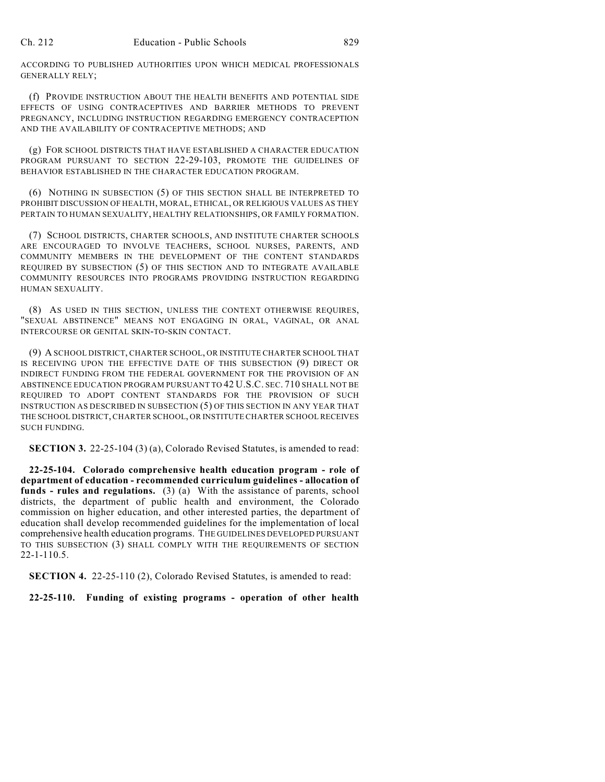ACCORDING TO PUBLISHED AUTHORITIES UPON WHICH MEDICAL PROFESSIONALS GENERALLY RELY;

(f) PROVIDE INSTRUCTION ABOUT THE HEALTH BENEFITS AND POTENTIAL SIDE EFFECTS OF USING CONTRACEPTIVES AND BARRIER METHODS TO PREVENT PREGNANCY, INCLUDING INSTRUCTION REGARDING EMERGENCY CONTRACEPTION AND THE AVAILABILITY OF CONTRACEPTIVE METHODS; AND

(g) FOR SCHOOL DISTRICTS THAT HAVE ESTABLISHED A CHARACTER EDUCATION PROGRAM PURSUANT TO SECTION 22-29-103, PROMOTE THE GUIDELINES OF BEHAVIOR ESTABLISHED IN THE CHARACTER EDUCATION PROGRAM.

(6) NOTHING IN SUBSECTION (5) OF THIS SECTION SHALL BE INTERPRETED TO PROHIBIT DISCUSSION OF HEALTH, MORAL, ETHICAL, OR RELIGIOUS VALUES AS THEY PERTAIN TO HUMAN SEXUALITY, HEALTHY RELATIONSHIPS, OR FAMILY FORMATION.

(7) SCHOOL DISTRICTS, CHARTER SCHOOLS, AND INSTITUTE CHARTER SCHOOLS ARE ENCOURAGED TO INVOLVE TEACHERS, SCHOOL NURSES, PARENTS, AND COMMUNITY MEMBERS IN THE DEVELOPMENT OF THE CONTENT STANDARDS REQUIRED BY SUBSECTION (5) OF THIS SECTION AND TO INTEGRATE AVAILABLE COMMUNITY RESOURCES INTO PROGRAMS PROVIDING INSTRUCTION REGARDING HUMAN SEXUALITY.

(8) AS USED IN THIS SECTION, UNLESS THE CONTEXT OTHERWISE REQUIRES, "SEXUAL ABSTINENCE" MEANS NOT ENGAGING IN ORAL, VAGINAL, OR ANAL INTERCOURSE OR GENITAL SKIN-TO-SKIN CONTACT.

(9) A SCHOOL DISTRICT, CHARTER SCHOOL, OR INSTITUTE CHARTER SCHOOL THAT IS RECEIVING UPON THE EFFECTIVE DATE OF THIS SUBSECTION (9) DIRECT OR INDIRECT FUNDING FROM THE FEDERAL GOVERNMENT FOR THE PROVISION OF AN ABSTINENCE EDUCATION PROGRAM PURSUANT TO 42 U.S.C. SEC. 710 SHALL NOT BE REQUIRED TO ADOPT CONTENT STANDARDS FOR THE PROVISION OF SUCH INSTRUCTION AS DESCRIBED IN SUBSECTION (5) OF THIS SECTION IN ANY YEAR THAT THE SCHOOL DISTRICT, CHARTER SCHOOL, OR INSTITUTE CHARTER SCHOOL RECEIVES SUCH FUNDING.

**SECTION 3.** 22-25-104 (3) (a), Colorado Revised Statutes, is amended to read:

**22-25-104. Colorado comprehensive health education program - role of department of education - recommended curriculum guidelines - allocation of funds - rules and regulations.** (3) (a) With the assistance of parents, school districts, the department of public health and environment, the Colorado commission on higher education, and other interested parties, the department of education shall develop recommended guidelines for the implementation of local comprehensive health education programs. THE GUIDELINES DEVELOPED PURSUANT TO THIS SUBSECTION (3) SHALL COMPLY WITH THE REQUIREMENTS OF SECTION 22-1-110.5.

**SECTION 4.** 22-25-110 (2), Colorado Revised Statutes, is amended to read:

**22-25-110. Funding of existing programs - operation of other health**